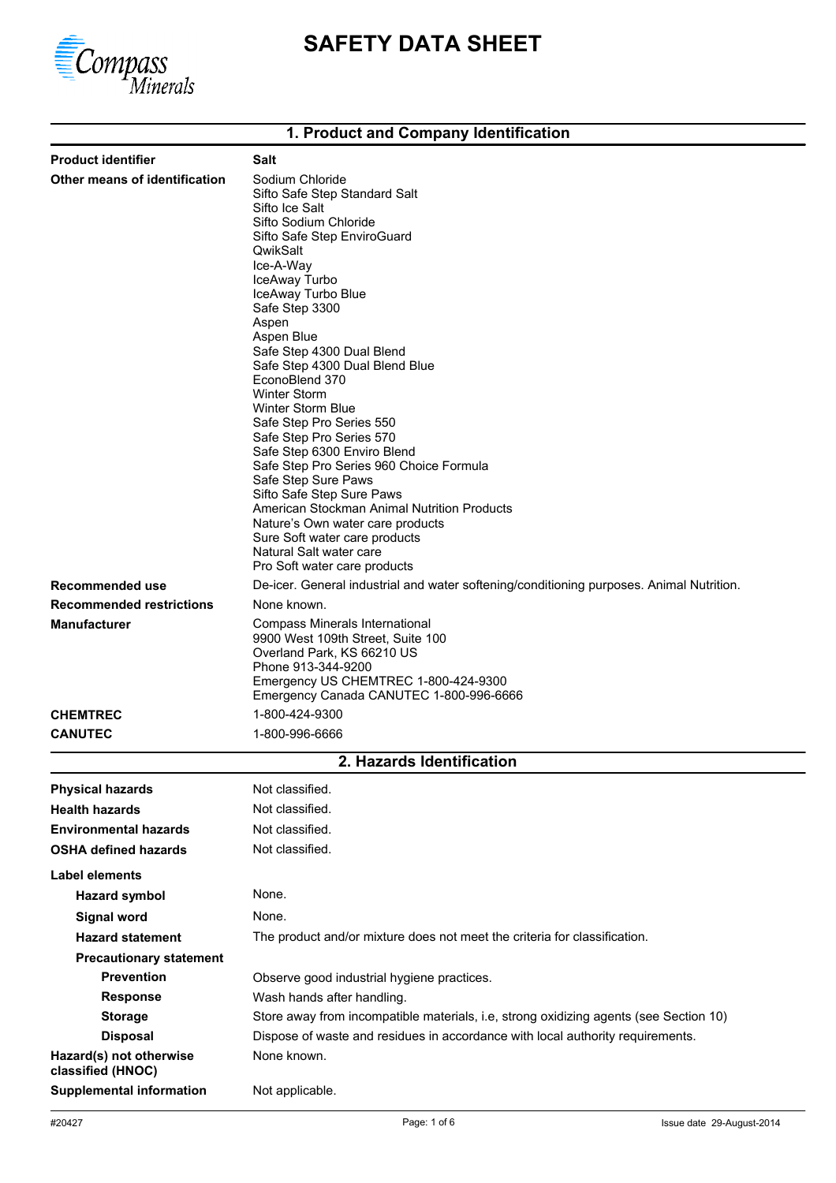

# **SAFETY DATA SHEET**

## **1. Product and Company Identification**

| <b>Product identifier</b>                    | Salt                                                                                                                                                                                                                                                                                                                                                                                                                                   |
|----------------------------------------------|----------------------------------------------------------------------------------------------------------------------------------------------------------------------------------------------------------------------------------------------------------------------------------------------------------------------------------------------------------------------------------------------------------------------------------------|
| Other means of identification                | Sodium Chloride<br>Sifto Safe Step Standard Salt<br>Sifto Ice Salt<br>Sifto Sodium Chloride<br>Sifto Safe Step EnviroGuard<br>QwikSalt<br>Ice-A-Way<br>IceAway Turbo<br>IceAway Turbo Blue<br>Safe Step 3300<br>Aspen<br>Aspen Blue<br>Safe Step 4300 Dual Blend<br>Safe Step 4300 Dual Blend Blue                                                                                                                                     |
|                                              | EconoBlend 370<br><b>Winter Storm</b><br><b>Winter Storm Blue</b><br>Safe Step Pro Series 550<br>Safe Step Pro Series 570<br>Safe Step 6300 Enviro Blend<br>Safe Step Pro Series 960 Choice Formula<br>Safe Step Sure Paws<br>Sifto Safe Step Sure Paws<br>American Stockman Animal Nutrition Products<br>Nature's Own water care products<br>Sure Soft water care products<br>Natural Salt water care<br>Pro Soft water care products |
| Recommended use                              | De-icer. General industrial and water softening/conditioning purposes. Animal Nutrition.                                                                                                                                                                                                                                                                                                                                               |
| <b>Recommended restrictions</b>              | None known.                                                                                                                                                                                                                                                                                                                                                                                                                            |
| <b>Manufacturer</b>                          | Compass Minerals International<br>9900 West 109th Street, Suite 100<br>Overland Park, KS 66210 US<br>Phone 913-344-9200<br>Emergency US CHEMTREC 1-800-424-9300<br>Emergency Canada CANUTEC 1-800-996-6666                                                                                                                                                                                                                             |
| <b>CHEMTREC</b>                              | 1-800-424-9300                                                                                                                                                                                                                                                                                                                                                                                                                         |
| <b>CANUTEC</b>                               | 1-800-996-6666                                                                                                                                                                                                                                                                                                                                                                                                                         |
|                                              | 2. Hazards Identification                                                                                                                                                                                                                                                                                                                                                                                                              |
| <b>Physical hazards</b>                      | Not classified.                                                                                                                                                                                                                                                                                                                                                                                                                        |
| <b>Health hazards</b>                        | Not classified.                                                                                                                                                                                                                                                                                                                                                                                                                        |
| <b>Environmental hazards</b>                 | Not classified.                                                                                                                                                                                                                                                                                                                                                                                                                        |
| <b>OSHA defined hazards</b>                  | Not classified.                                                                                                                                                                                                                                                                                                                                                                                                                        |
| <b>Label elements</b>                        |                                                                                                                                                                                                                                                                                                                                                                                                                                        |
| <b>Hazard symbol</b>                         | None.                                                                                                                                                                                                                                                                                                                                                                                                                                  |
| <b>Signal word</b>                           | None.                                                                                                                                                                                                                                                                                                                                                                                                                                  |
| <b>Hazard statement</b>                      | The product and/or mixture does not meet the criteria for classification.                                                                                                                                                                                                                                                                                                                                                              |
| <b>Precautionary statement</b>               |                                                                                                                                                                                                                                                                                                                                                                                                                                        |
| <b>Prevention</b>                            | Observe good industrial hygiene practices.                                                                                                                                                                                                                                                                                                                                                                                             |
| <b>Response</b>                              | Wash hands after handling.                                                                                                                                                                                                                                                                                                                                                                                                             |
| <b>Storage</b>                               | Store away from incompatible materials, i.e, strong oxidizing agents (see Section 10)                                                                                                                                                                                                                                                                                                                                                  |
| <b>Disposal</b>                              | Dispose of waste and residues in accordance with local authority requirements.                                                                                                                                                                                                                                                                                                                                                         |
| Hazard(s) not otherwise<br>classified (HNOC) | None known.                                                                                                                                                                                                                                                                                                                                                                                                                            |
| <b>Supplemental information</b>              | Not applicable.                                                                                                                                                                                                                                                                                                                                                                                                                        |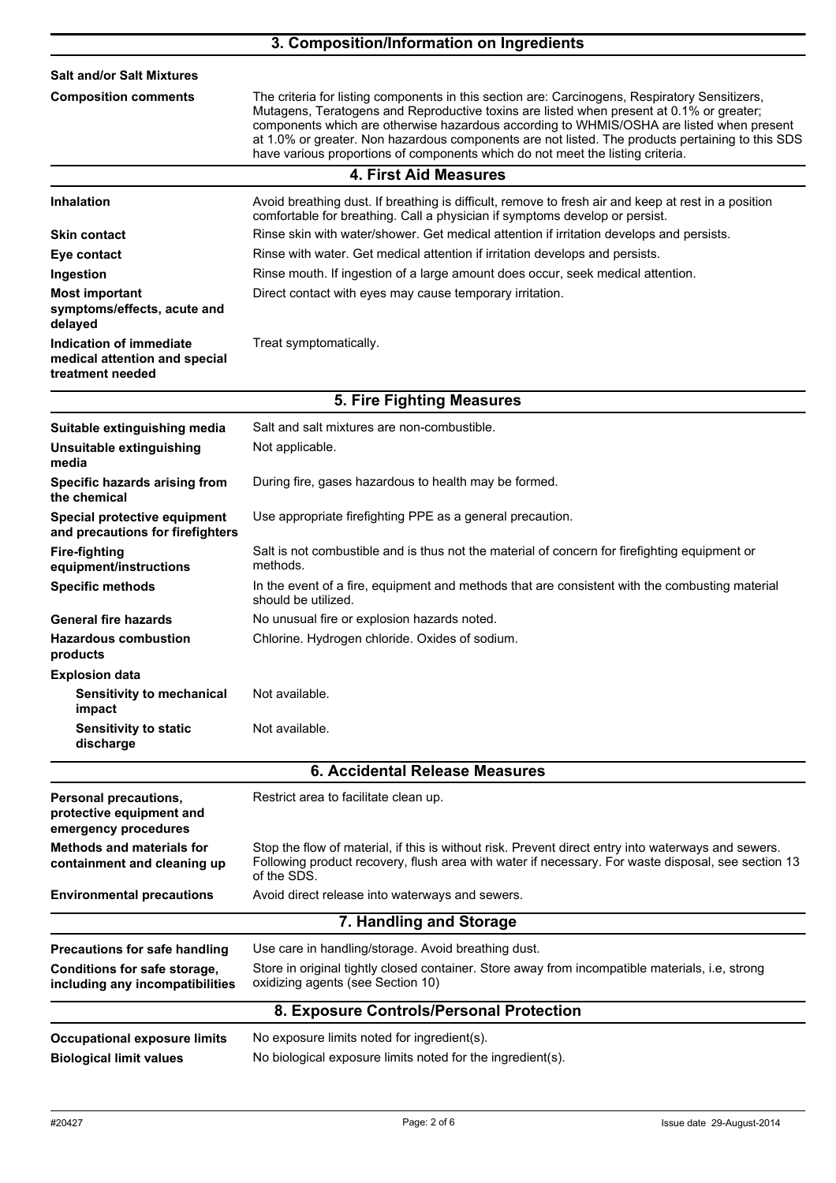|                                                                              | 3. Composition/Information on Ingredients                                                                                                                                                                                                                                                                                                                                                                                                                                    |
|------------------------------------------------------------------------------|------------------------------------------------------------------------------------------------------------------------------------------------------------------------------------------------------------------------------------------------------------------------------------------------------------------------------------------------------------------------------------------------------------------------------------------------------------------------------|
| <b>Salt and/or Salt Mixtures</b>                                             |                                                                                                                                                                                                                                                                                                                                                                                                                                                                              |
| <b>Composition comments</b>                                                  | The criteria for listing components in this section are: Carcinogens, Respiratory Sensitizers,<br>Mutagens, Teratogens and Reproductive toxins are listed when present at 0.1% or greater;<br>components which are otherwise hazardous according to WHMIS/OSHA are listed when present<br>at 1.0% or greater. Non hazardous components are not listed. The products pertaining to this SDS<br>have various proportions of components which do not meet the listing criteria. |
|                                                                              | <b>4. First Aid Measures</b>                                                                                                                                                                                                                                                                                                                                                                                                                                                 |
| <b>Inhalation</b>                                                            | Avoid breathing dust. If breathing is difficult, remove to fresh air and keep at rest in a position<br>comfortable for breathing. Call a physician if symptoms develop or persist.                                                                                                                                                                                                                                                                                           |
| <b>Skin contact</b>                                                          | Rinse skin with water/shower. Get medical attention if irritation develops and persists.                                                                                                                                                                                                                                                                                                                                                                                     |
| Eye contact                                                                  | Rinse with water. Get medical attention if irritation develops and persists.                                                                                                                                                                                                                                                                                                                                                                                                 |
| Ingestion                                                                    | Rinse mouth. If ingestion of a large amount does occur, seek medical attention.                                                                                                                                                                                                                                                                                                                                                                                              |
| <b>Most important</b><br>symptoms/effects, acute and<br>delayed              | Direct contact with eyes may cause temporary irritation.                                                                                                                                                                                                                                                                                                                                                                                                                     |
| Indication of immediate<br>medical attention and special<br>treatment needed | Treat symptomatically.                                                                                                                                                                                                                                                                                                                                                                                                                                                       |
|                                                                              | 5. Fire Fighting Measures                                                                                                                                                                                                                                                                                                                                                                                                                                                    |
| Suitable extinguishing media                                                 | Salt and salt mixtures are non-combustible.                                                                                                                                                                                                                                                                                                                                                                                                                                  |
| Unsuitable extinguishing<br>media                                            | Not applicable.                                                                                                                                                                                                                                                                                                                                                                                                                                                              |
| Specific hazards arising from<br>the chemical                                | During fire, gases hazardous to health may be formed.                                                                                                                                                                                                                                                                                                                                                                                                                        |
| Special protective equipment<br>and precautions for firefighters             | Use appropriate firefighting PPE as a general precaution.                                                                                                                                                                                                                                                                                                                                                                                                                    |
| <b>Fire-fighting</b><br>equipment/instructions                               | Salt is not combustible and is thus not the material of concern for firefighting equipment or<br>methods.                                                                                                                                                                                                                                                                                                                                                                    |
| <b>Specific methods</b>                                                      | In the event of a fire, equipment and methods that are consistent with the combusting material<br>should be utilized.                                                                                                                                                                                                                                                                                                                                                        |
| <b>General fire hazards</b>                                                  | No unusual fire or explosion hazards noted.                                                                                                                                                                                                                                                                                                                                                                                                                                  |
| <b>Hazardous combustion</b><br>products                                      | Chlorine. Hydrogen chloride. Oxides of sodium.                                                                                                                                                                                                                                                                                                                                                                                                                               |
| <b>Explosion data</b><br><b>Sensitivity to mechanical</b><br>impact          | Not available.                                                                                                                                                                                                                                                                                                                                                                                                                                                               |
| <b>Sensitivity to static</b><br>discharge                                    | Not available.                                                                                                                                                                                                                                                                                                                                                                                                                                                               |
|                                                                              | <b>6. Accidental Release Measures</b>                                                                                                                                                                                                                                                                                                                                                                                                                                        |
| Personal precautions,<br>protective equipment and                            | Restrict area to facilitate clean up.                                                                                                                                                                                                                                                                                                                                                                                                                                        |
| emergency procedures                                                         |                                                                                                                                                                                                                                                                                                                                                                                                                                                                              |
| <b>Methods and materials for</b><br>containment and cleaning up              | Stop the flow of material, if this is without risk. Prevent direct entry into waterways and sewers.<br>Following product recovery, flush area with water if necessary. For waste disposal, see section 13<br>of the SDS.                                                                                                                                                                                                                                                     |
| <b>Environmental precautions</b>                                             | Avoid direct release into waterways and sewers.                                                                                                                                                                                                                                                                                                                                                                                                                              |
|                                                                              | 7. Handling and Storage                                                                                                                                                                                                                                                                                                                                                                                                                                                      |
| <b>Precautions for safe handling</b>                                         | Use care in handling/storage. Avoid breathing dust.                                                                                                                                                                                                                                                                                                                                                                                                                          |
| Conditions for safe storage,<br>including any incompatibilities              | Store in original tightly closed container. Store away from incompatible materials, i.e, strong<br>oxidizing agents (see Section 10)                                                                                                                                                                                                                                                                                                                                         |
|                                                                              | 8. Exposure Controls/Personal Protection                                                                                                                                                                                                                                                                                                                                                                                                                                     |
| <b>Occupational exposure limits</b>                                          | No exposure limits noted for ingredient(s).                                                                                                                                                                                                                                                                                                                                                                                                                                  |
| <b>Biological limit values</b>                                               | No biological exposure limits noted for the ingredient(s).                                                                                                                                                                                                                                                                                                                                                                                                                   |
|                                                                              |                                                                                                                                                                                                                                                                                                                                                                                                                                                                              |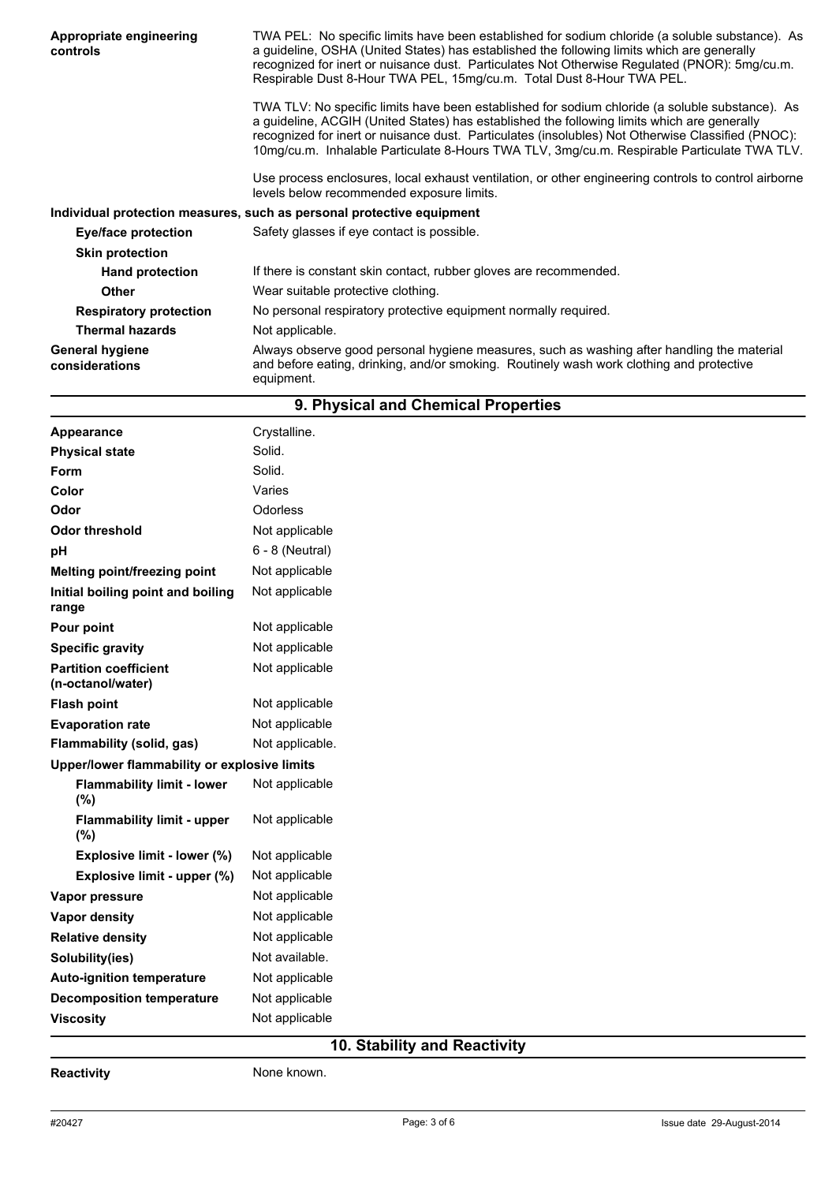| Appropriate engineering<br>controls      | TWA PEL: No specific limits have been established for sodium chloride (a soluble substance). As<br>a guideline, OSHA (United States) has established the following limits which are generally<br>recognized for inert or nuisance dust. Particulates Not Otherwise Regulated (PNOR): 5mg/cu.m.<br>Respirable Dust 8-Hour TWA PEL, 15mg/cu.m. Total Dust 8-Hour TWA PEL.                            |
|------------------------------------------|----------------------------------------------------------------------------------------------------------------------------------------------------------------------------------------------------------------------------------------------------------------------------------------------------------------------------------------------------------------------------------------------------|
|                                          | TWA TLV: No specific limits have been established for sodium chloride (a soluble substance). As<br>a guideline, ACGIH (United States) has established the following limits which are generally<br>recognized for inert or nuisance dust. Particulates (insolubles) Not Otherwise Classified (PNOC):<br>10mg/cu.m. Inhalable Particulate 8-Hours TWA TLV, 3mg/cu.m. Respirable Particulate TWA TLV. |
|                                          | Use process enclosures, local exhaust ventilation, or other engineering controls to control airborne<br>levels below recommended exposure limits.                                                                                                                                                                                                                                                  |
|                                          | Individual protection measures, such as personal protective equipment                                                                                                                                                                                                                                                                                                                              |
| Eye/face protection                      | Safety glasses if eye contact is possible.                                                                                                                                                                                                                                                                                                                                                         |
| <b>Skin protection</b>                   |                                                                                                                                                                                                                                                                                                                                                                                                    |
| <b>Hand protection</b>                   | If there is constant skin contact, rubber gloves are recommended.                                                                                                                                                                                                                                                                                                                                  |
| Other                                    | Wear suitable protective clothing.                                                                                                                                                                                                                                                                                                                                                                 |
| <b>Respiratory protection</b>            | No personal respiratory protective equipment normally required.                                                                                                                                                                                                                                                                                                                                    |
| <b>Thermal hazards</b>                   | Not applicable.                                                                                                                                                                                                                                                                                                                                                                                    |
| <b>General hygiene</b><br>considerations | Always observe good personal hygiene measures, such as washing after handling the material<br>and before eating, drinking, and/or smoking. Routinely wash work clothing and protective<br>equipment.                                                                                                                                                                                               |

|                                                   | 9. Physical and Chemical Properties |
|---------------------------------------------------|-------------------------------------|
| Appearance                                        | Crystalline.                        |
| <b>Physical state</b>                             | Solid.                              |
| Form                                              | Solid.                              |
| Color                                             | Varies                              |
| Odor                                              | Odorless                            |
| <b>Odor threshold</b>                             | Not applicable                      |
| pH                                                | $6 - 8$ (Neutral)                   |
| <b>Melting point/freezing point</b>               | Not applicable                      |
| Initial boiling point and boiling<br>range        | Not applicable                      |
| Pour point                                        | Not applicable                      |
| <b>Specific gravity</b>                           | Not applicable                      |
| <b>Partition coefficient</b><br>(n-octanol/water) | Not applicable                      |
| <b>Flash point</b>                                | Not applicable                      |
| <b>Evaporation rate</b>                           | Not applicable                      |
| Flammability (solid, gas)                         | Not applicable.                     |
| Upper/lower flammability or explosive limits      |                                     |
| <b>Flammability limit - lower</b><br>(%)          | Not applicable                      |
| <b>Flammability limit - upper</b><br>(%)          | Not applicable                      |
| Explosive limit - lower (%)                       | Not applicable                      |
| Explosive limit - upper (%)                       | Not applicable                      |
| Vapor pressure                                    | Not applicable                      |
| Vapor density                                     | Not applicable                      |
| <b>Relative density</b>                           | Not applicable                      |
| Solubility(ies)                                   | Not available.                      |
| Auto-ignition temperature                         | Not applicable                      |
| <b>Decomposition temperature</b>                  | Not applicable                      |
| <b>Viscosity</b>                                  | Not applicable                      |

## **10. Stability and Reactivity**

**Reactivity None known.**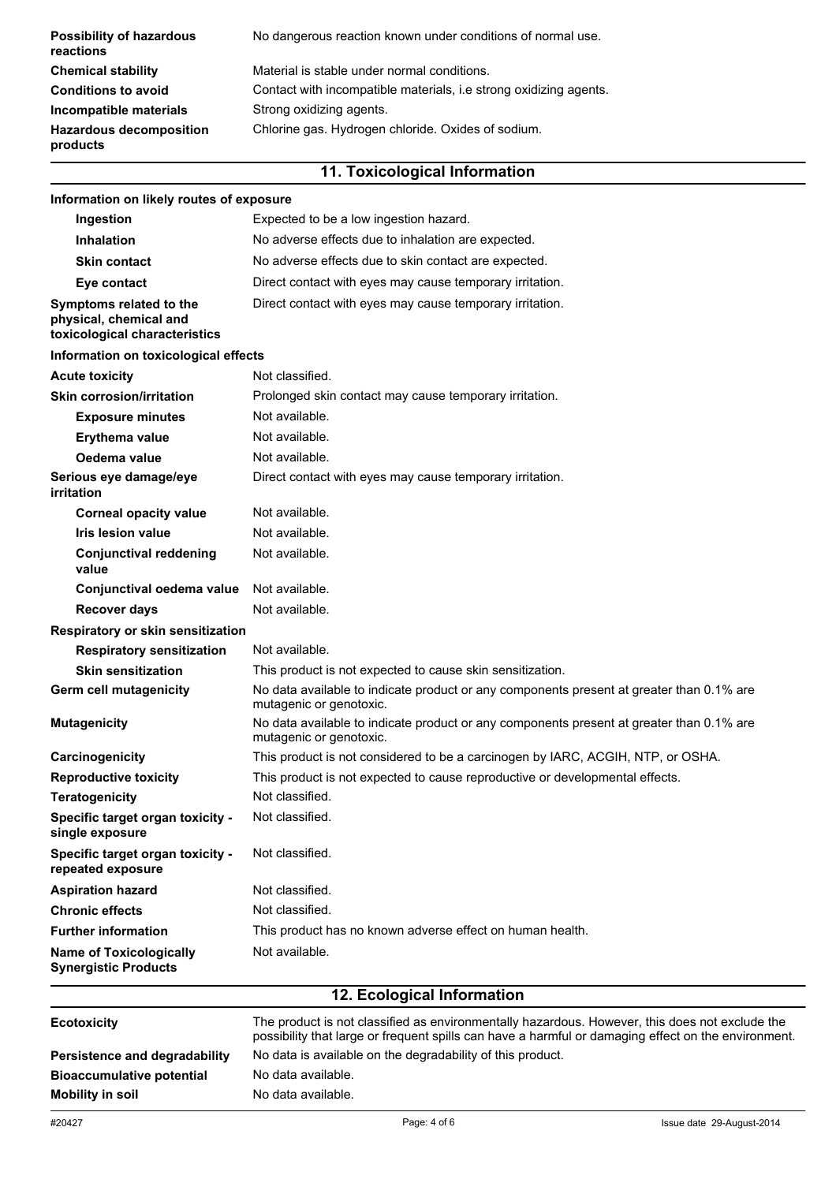| <b>Possibility of hazardous</b><br>reactions | No dangerous reaction known under conditions of normal use.       |
|----------------------------------------------|-------------------------------------------------------------------|
| <b>Chemical stability</b>                    | Material is stable under normal conditions.                       |
| <b>Conditions to avoid</b>                   | Contact with incompatible materials, i.e strong oxidizing agents. |
| Incompatible materials                       | Strong oxidizing agents.                                          |
| <b>Hazardous decomposition</b><br>products   | Chlorine gas. Hydrogen chloride. Oxides of sodium.                |

## **11. Toxicological Information**

| Information on likely routes of exposure                                           |                                                                                                                     |
|------------------------------------------------------------------------------------|---------------------------------------------------------------------------------------------------------------------|
| Ingestion                                                                          | Expected to be a low ingestion hazard.                                                                              |
| <b>Inhalation</b>                                                                  | No adverse effects due to inhalation are expected.                                                                  |
| <b>Skin contact</b>                                                                | No adverse effects due to skin contact are expected.                                                                |
| Eye contact                                                                        | Direct contact with eyes may cause temporary irritation.                                                            |
| Symptoms related to the<br>physical, chemical and<br>toxicological characteristics | Direct contact with eyes may cause temporary irritation.                                                            |
| Information on toxicological effects                                               |                                                                                                                     |
| <b>Acute toxicity</b>                                                              | Not classified.                                                                                                     |
| <b>Skin corrosion/irritation</b>                                                   | Prolonged skin contact may cause temporary irritation.                                                              |
| <b>Exposure minutes</b>                                                            | Not available.                                                                                                      |
| <b>Erythema value</b>                                                              | Not available.                                                                                                      |
| Oedema value                                                                       | Not available.                                                                                                      |
| Serious eye damage/eye<br>irritation                                               | Direct contact with eyes may cause temporary irritation.                                                            |
| <b>Corneal opacity value</b>                                                       | Not available.                                                                                                      |
| <b>Iris lesion value</b>                                                           | Not available.                                                                                                      |
| <b>Conjunctival reddening</b><br>value                                             | Not available.                                                                                                      |
| Conjunctival oedema value                                                          | Not available.                                                                                                      |
| <b>Recover days</b>                                                                | Not available.                                                                                                      |
| Respiratory or skin sensitization                                                  |                                                                                                                     |
| <b>Respiratory sensitization</b>                                                   | Not available.                                                                                                      |
| <b>Skin sensitization</b>                                                          | This product is not expected to cause skin sensitization.                                                           |
| Germ cell mutagenicity                                                             | No data available to indicate product or any components present at greater than 0.1% are<br>mutagenic or genotoxic. |
| <b>Mutagenicity</b>                                                                | No data available to indicate product or any components present at greater than 0.1% are<br>mutagenic or genotoxic. |
| Carcinogenicity                                                                    | This product is not considered to be a carcinogen by IARC, ACGIH, NTP, or OSHA.                                     |
| <b>Reproductive toxicity</b>                                                       | This product is not expected to cause reproductive or developmental effects.                                        |
| <b>Teratogenicity</b>                                                              | Not classified.                                                                                                     |
| Specific target organ toxicity -<br>single exposure                                | Not classified.                                                                                                     |
| Specific target organ toxicity -<br>repeated exposure                              | Not classified.                                                                                                     |
| <b>Aspiration hazard</b>                                                           | Not classified.                                                                                                     |
| <b>Chronic effects</b>                                                             | Not classified.                                                                                                     |
| <b>Further information</b>                                                         | This product has no known adverse effect on human health.                                                           |
| <b>Name of Toxicologically</b><br><b>Synergistic Products</b>                      | Not available.                                                                                                      |
| 12 Ecological Information                                                          |                                                                                                                     |

| <b>Ecotoxicity</b>               | The product is not classified as environmentally hazardous. However, this does not exclude the<br>possibility that large or frequent spills can have a harmful or damaging effect on the environment. |
|----------------------------------|-------------------------------------------------------------------------------------------------------------------------------------------------------------------------------------------------------|
| Persistence and degradability    | No data is available on the degradability of this product.                                                                                                                                            |
| <b>Bioaccumulative potential</b> | No data available.                                                                                                                                                                                    |
| Mobility in soil                 | No data available.                                                                                                                                                                                    |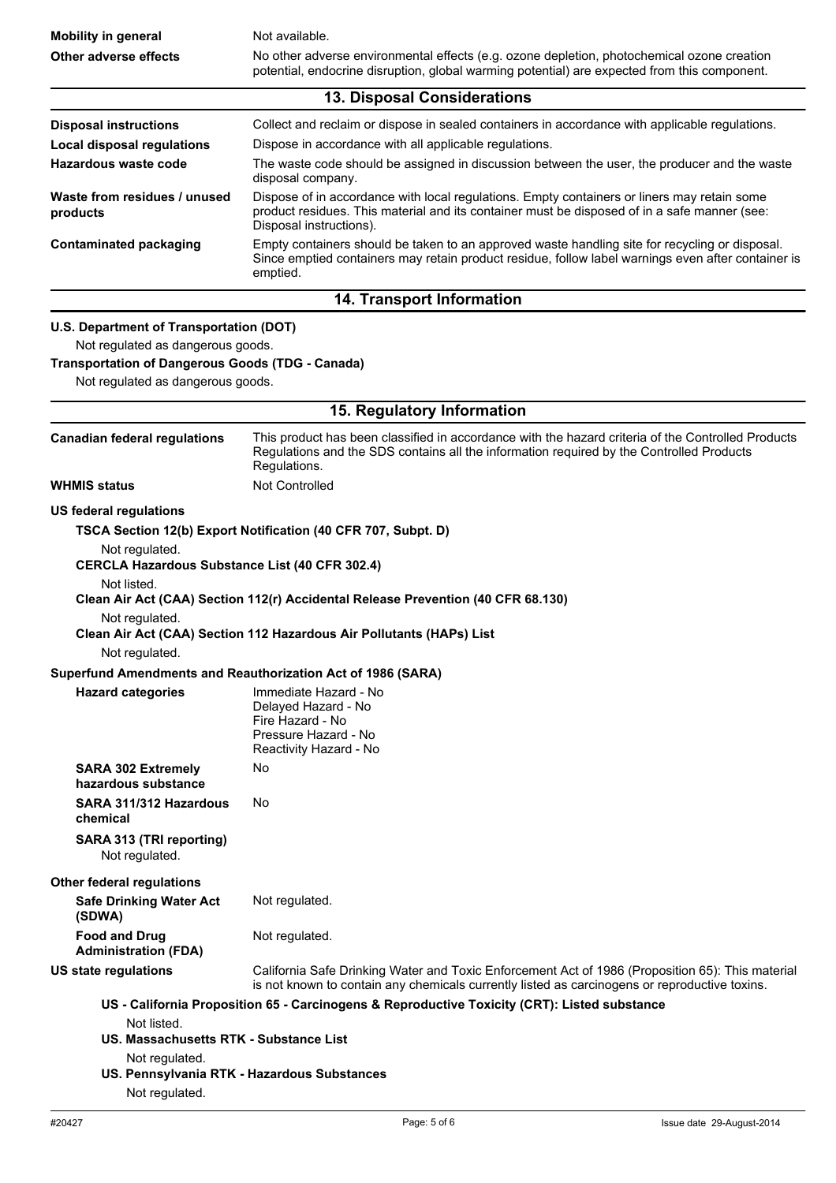| <b>Mobility in general</b>                                                                                                                                                   | Not available.                                                                                                                                                                                                                                                                |
|------------------------------------------------------------------------------------------------------------------------------------------------------------------------------|-------------------------------------------------------------------------------------------------------------------------------------------------------------------------------------------------------------------------------------------------------------------------------|
| Other adverse effects                                                                                                                                                        | No other adverse environmental effects (e.g. ozone depletion, photochemical ozone creation<br>potential, endocrine disruption, global warming potential) are expected from this component.                                                                                    |
|                                                                                                                                                                              | 13. Disposal Considerations                                                                                                                                                                                                                                                   |
| <b>Disposal instructions</b><br><b>Local disposal regulations</b><br>Hazardous waste code                                                                                    | Collect and reclaim or dispose in sealed containers in accordance with applicable regulations.<br>Dispose in accordance with all applicable regulations.<br>The waste code should be assigned in discussion between the user, the producer and the waste<br>disposal company. |
| Waste from residues / unused<br>products                                                                                                                                     | Dispose of in accordance with local regulations. Empty containers or liners may retain some<br>product residues. This material and its container must be disposed of in a safe manner (see:<br>Disposal instructions).                                                        |
| <b>Contaminated packaging</b>                                                                                                                                                | Empty containers should be taken to an approved waste handling site for recycling or disposal.<br>Since emptied containers may retain product residue, follow label warnings even after container is<br>emptied.                                                              |
|                                                                                                                                                                              | 14. Transport Information                                                                                                                                                                                                                                                     |
| U.S. Department of Transportation (DOT)<br>Not regulated as dangerous goods.<br><b>Transportation of Dangerous Goods (TDG - Canada)</b><br>Not regulated as dangerous goods. |                                                                                                                                                                                                                                                                               |
|                                                                                                                                                                              | 15. Regulatory Information                                                                                                                                                                                                                                                    |
| <b>Canadian federal regulations</b>                                                                                                                                          | This product has been classified in accordance with the hazard criteria of the Controlled Products<br>Regulations and the SDS contains all the information required by the Controlled Products<br>Regulations.                                                                |
| <b>WHMIS status</b>                                                                                                                                                          | <b>Not Controlled</b>                                                                                                                                                                                                                                                         |
| <b>CERCLA Hazardous Substance List (40 CFR 302.4)</b><br>Not listed.<br>Not regulated.<br>Not regulated.                                                                     | Clean Air Act (CAA) Section 112(r) Accidental Release Prevention (40 CFR 68.130)<br>Clean Air Act (CAA) Section 112 Hazardous Air Pollutants (HAPs) List                                                                                                                      |
| Superfund Amendments and Reauthorization Act of 1986 (SARA)                                                                                                                  |                                                                                                                                                                                                                                                                               |
| <b>Hazard categories</b>                                                                                                                                                     | Immediate Hazard - No<br>Delayed Hazard - No<br>Fire Hazard - No<br>Pressure Hazard - No<br>Reactivity Hazard - No                                                                                                                                                            |
| <b>SARA 302 Extremely</b><br>hazardous substance                                                                                                                             | No                                                                                                                                                                                                                                                                            |
| SARA 311/312 Hazardous<br>chemical                                                                                                                                           | No.                                                                                                                                                                                                                                                                           |
| SARA 313 (TRI reporting)<br>Not regulated.                                                                                                                                   |                                                                                                                                                                                                                                                                               |
| <b>Other federal regulations</b><br><b>Safe Drinking Water Act</b><br>(SDWA)                                                                                                 | Not regulated.                                                                                                                                                                                                                                                                |
| <b>Food and Drug</b><br><b>Administration (FDA)</b>                                                                                                                          | Not regulated.                                                                                                                                                                                                                                                                |
| US state regulations                                                                                                                                                         | California Safe Drinking Water and Toxic Enforcement Act of 1986 (Proposition 65): This material<br>is not known to contain any chemicals currently listed as carcinogens or reproductive toxins.                                                                             |
| Not listed.<br>US. Massachusetts RTK - Substance List<br>Not regulated.<br>US. Pennsylvania RTK - Hazardous Substances<br>Not regulated.                                     | US - California Proposition 65 - Carcinogens & Reproductive Toxicity (CRT): Listed substance                                                                                                                                                                                  |